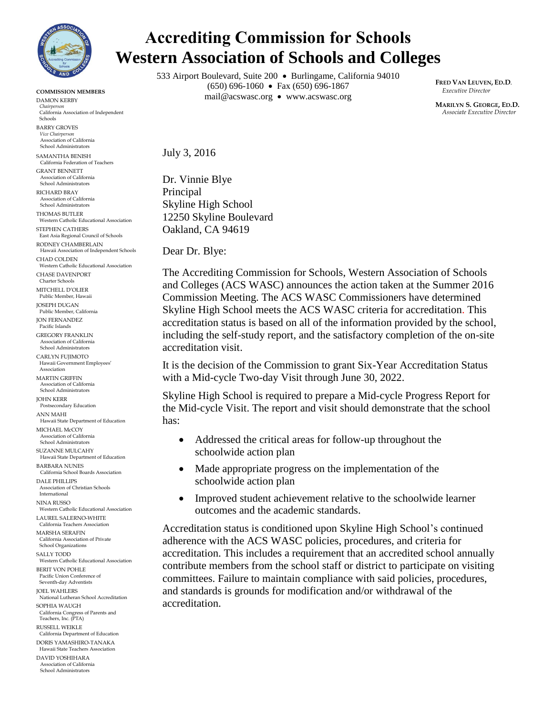

**COMMISSION MEMBERS** DAMON KERBY *Chairpers* California Association of Independent Schools BARRY GROVES *Vice Chairperson* Association of California School Administrators SAMANTHA BENISH California Federation of Teachers GRANT BENNETT Association of California School Administrators RICHARD BRAY Association of California School Administrators THOMAS BUTLER Western Catholic Educational Association STEPHEN CATHERS East Asia Regional Council of Schools RODNEY CHAMBERLAIN Hawaii Association of Independent Schools CHAD COLDEN Western Catholic Educational Association CHASE DAVENPORT Charter Schools MITCHELL D'OLIER Public Member, Hawaii JOSEPH DUGAN Public Member, California JON FERNANDEZ Pacific Islands GREGORY FRANKLIN Association of California School Administrators CARLYN FUJIMOTO Hawaii Government Employees' Association MARTIN GRIFFIN Association of California School Administrators JOHN KERR Postsecondary Education ANN MAHI Hawaii State Department of Education MICHAEL McCOY Association of California School Administrators SUZANNE MULCAHY Hawaii State Department of Education BARBARA NUNES California School Boards Association DALE PHILLIPS Association of Christian Schools International NINA RUSSO Western Catholic Educational Association LAUREL SALERNO-WHITE California Teachers Association MARSHA SERAFIN California Association of Private School Organizations SALLY TODD Western Catholic Educational Association BERIT VON POHLE Pacific Union Conference of Seventh-day Adventists JOEL WAHLERS National Lutheran School Accreditation SOPHIA WAUGH California Congress of Parents and Teachers, Inc. (PTA) RUSSELL WEIKLE California Department of Education DORIS YAMASHIRO-TANAKA Hawaii State Teachers Association DAVID YOSHIHARA

## Association of California School Administrators

## **Accrediting Commission for Schools Western Association of Schools and Colleges**

533 Airport Boulevard, Suite 200 • Burlingame, California 94010 (650) 696-1060 Fax (650) 696-1867 mail@acswasc.org • www.acswasc.org

**FRED VAN LEUVEN, ED.D**. *Executive Director*

**MARILYN S. GEORGE, ED.D.** *Associate Executive Director*

July 3, 2016

Dr. Vinnie Blye Principal Skyline High School 12250 Skyline Boulevard Oakland, CA 94619

Dear Dr. Blye:

The Accrediting Commission for Schools, Western Association of Schools and Colleges (ACS WASC) announces the action taken at the Summer 2016 Commission Meeting. The ACS WASC Commissioners have determined Skyline High School meets the ACS WASC criteria for accreditation. This accreditation status is based on all of the information provided by the school, including the self-study report, and the satisfactory completion of the on-site accreditation visit.

It is the decision of the Commission to grant Six-Year Accreditation Status with a Mid-cycle Two-day Visit through June 30, 2022.

Skyline High School is required to prepare a Mid-cycle Progress Report for the Mid-cycle Visit. The report and visit should demonstrate that the school has:

- Addressed the critical areas for follow-up throughout the schoolwide action plan
- Made appropriate progress on the implementation of the schoolwide action plan
- Improved student achievement relative to the schoolwide learner outcomes and the academic standards.

Accreditation status is conditioned upon Skyline High School's continued adherence with the ACS WASC policies, procedures, and criteria for accreditation. This includes a requirement that an accredited school annually contribute members from the school staff or district to participate on visiting committees. Failure to maintain compliance with said policies, procedures, and standards is grounds for modification and/or withdrawal of the accreditation.